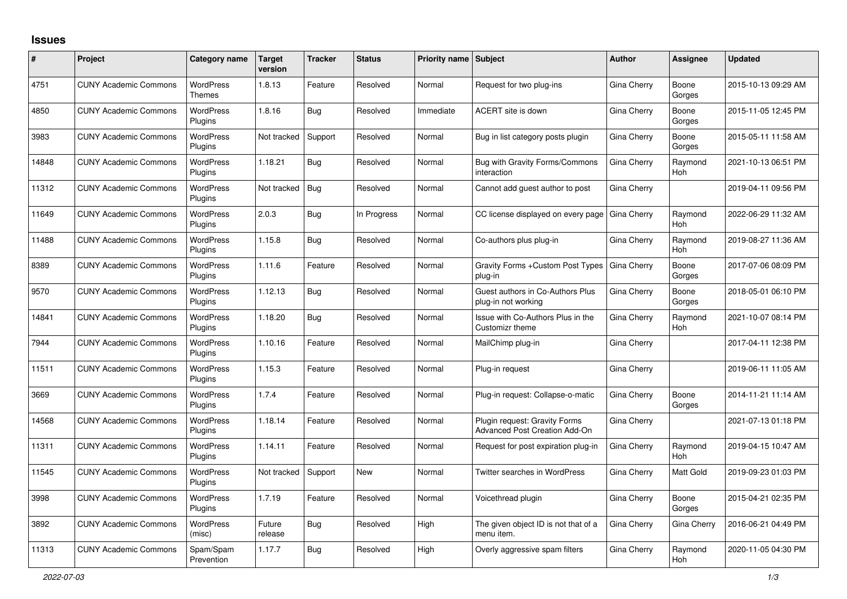## **Issues**

| #     | Project                      | Category name                     | <b>Target</b><br>version | <b>Tracker</b> | <b>Status</b> | <b>Priority name Subject</b> |                                                                       | <b>Author</b> | Assignee              | <b>Updated</b>      |
|-------|------------------------------|-----------------------------------|--------------------------|----------------|---------------|------------------------------|-----------------------------------------------------------------------|---------------|-----------------------|---------------------|
| 4751  | <b>CUNY Academic Commons</b> | <b>WordPress</b><br><b>Themes</b> | 1.8.13                   | Feature        | Resolved      | Normal                       | Request for two plug-ins                                              | Gina Cherry   | Boone<br>Gorges       | 2015-10-13 09:29 AM |
| 4850  | <b>CUNY Academic Commons</b> | <b>WordPress</b><br>Plugins       | 1.8.16                   | <b>Bug</b>     | Resolved      | Immediate                    | ACERT site is down                                                    | Gina Cherry   | Boone<br>Gorges       | 2015-11-05 12:45 PM |
| 3983  | <b>CUNY Academic Commons</b> | <b>WordPress</b><br>Plugins       | Not tracked              | Support        | Resolved      | Normal                       | Bug in list category posts plugin                                     | Gina Cherry   | Boone<br>Gorges       | 2015-05-11 11:58 AM |
| 14848 | <b>CUNY Academic Commons</b> | <b>WordPress</b><br>Plugins       | 1.18.21                  | Bug            | Resolved      | Normal                       | Bug with Gravity Forms/Commons<br>interaction                         | Gina Cherry   | Raymond<br><b>Hoh</b> | 2021-10-13 06:51 PM |
| 11312 | <b>CUNY Academic Commons</b> | <b>WordPress</b><br>Plugins       | Not tracked              | Bug            | Resolved      | Normal                       | Cannot add guest author to post                                       | Gina Cherry   |                       | 2019-04-11 09:56 PM |
| 11649 | <b>CUNY Academic Commons</b> | <b>WordPress</b><br>Plugins       | 2.0.3                    | Bug            | In Progress   | Normal                       | CC license displayed on every page                                    | Gina Cherry   | Raymond<br>Hoh        | 2022-06-29 11:32 AM |
| 11488 | <b>CUNY Academic Commons</b> | <b>WordPress</b><br>Plugins       | 1.15.8                   | Bug            | Resolved      | Normal                       | Co-authors plus plug-in                                               | Gina Cherry   | Raymond<br>Hoh        | 2019-08-27 11:36 AM |
| 8389  | <b>CUNY Academic Commons</b> | WordPress<br>Plugins              | 1.11.6                   | Feature        | Resolved      | Normal                       | Gravity Forms + Custom Post Types<br>plug-in                          | Gina Cherry   | Boone<br>Gorges       | 2017-07-06 08:09 PM |
| 9570  | <b>CUNY Academic Commons</b> | WordPress<br>Plugins              | 1.12.13                  | Bug            | Resolved      | Normal                       | Guest authors in Co-Authors Plus<br>plug-in not working               | Gina Cherry   | Boone<br>Gorges       | 2018-05-01 06:10 PM |
| 14841 | <b>CUNY Academic Commons</b> | <b>WordPress</b><br>Plugins       | 1.18.20                  | Bug            | Resolved      | Normal                       | Issue with Co-Authors Plus in the<br>Customizr theme                  | Gina Cherry   | Raymond<br>Hoh        | 2021-10-07 08:14 PM |
| 7944  | <b>CUNY Academic Commons</b> | <b>WordPress</b><br>Plugins       | 1.10.16                  | Feature        | Resolved      | Normal                       | MailChimp plug-in                                                     | Gina Cherry   |                       | 2017-04-11 12:38 PM |
| 11511 | <b>CUNY Academic Commons</b> | WordPress<br>Plugins              | 1.15.3                   | Feature        | Resolved      | Normal                       | Plug-in request                                                       | Gina Cherry   |                       | 2019-06-11 11:05 AM |
| 3669  | <b>CUNY Academic Commons</b> | <b>WordPress</b><br>Plugins       | 1.7.4                    | Feature        | Resolved      | Normal                       | Plug-in request: Collapse-o-matic                                     | Gina Cherry   | Boone<br>Gorges       | 2014-11-21 11:14 AM |
| 14568 | <b>CUNY Academic Commons</b> | <b>WordPress</b><br>Plugins       | 1.18.14                  | Feature        | Resolved      | Normal                       | Plugin request: Gravity Forms<br><b>Advanced Post Creation Add-On</b> | Gina Cherry   |                       | 2021-07-13 01:18 PM |
| 11311 | <b>CUNY Academic Commons</b> | <b>WordPress</b><br>Plugins       | 1.14.11                  | Feature        | Resolved      | Normal                       | Request for post expiration plug-in                                   | Gina Cherry   | Raymond<br>Hoh        | 2019-04-15 10:47 AM |
| 11545 | <b>CUNY Academic Commons</b> | WordPress<br>Plugins              | Not tracked              | Support        | <b>New</b>    | Normal                       | Twitter searches in WordPress                                         | Gina Cherry   | Matt Gold             | 2019-09-23 01:03 PM |
| 3998  | <b>CUNY Academic Commons</b> | <b>WordPress</b><br>Plugins       | 1.7.19                   | Feature        | Resolved      | Normal                       | Voicethread plugin                                                    | Gina Cherry   | Boone<br>Gorges       | 2015-04-21 02:35 PM |
| 3892  | <b>CUNY Academic Commons</b> | <b>WordPress</b><br>(misc)        | Future<br>release        | <b>Bug</b>     | Resolved      | High                         | The given object ID is not that of a<br>menu item.                    | Gina Cherry   | Gina Cherry           | 2016-06-21 04:49 PM |
| 11313 | <b>CUNY Academic Commons</b> | Spam/Spam<br>Prevention           | 1.17.7                   | <b>Bug</b>     | Resolved      | High                         | Overly aggressive spam filters                                        | Gina Cherry   | Raymond<br>Hoh        | 2020-11-05 04:30 PM |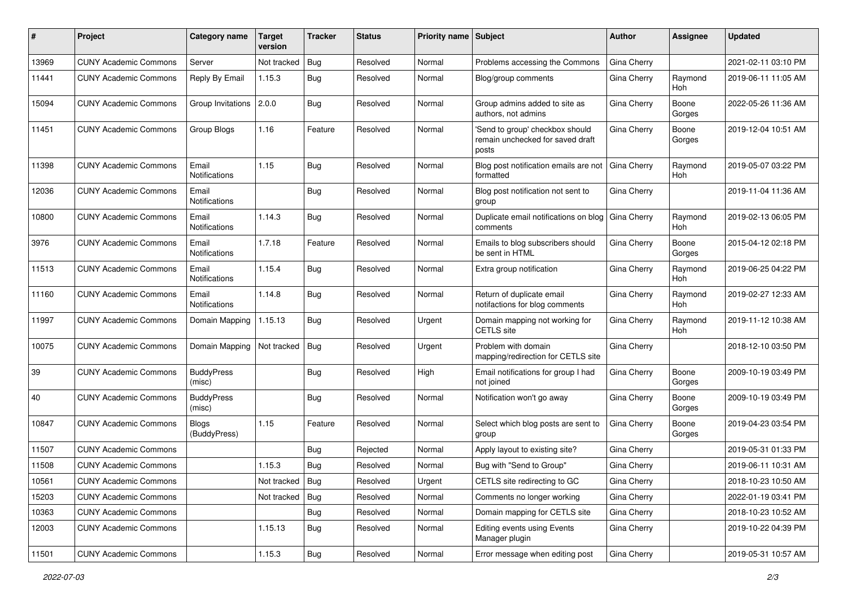| #     | Project                      | <b>Category name</b>         | <b>Target</b><br>version | <b>Tracker</b> | <b>Status</b> | <b>Priority name Subject</b> |                                                                              | Author             | Assignee              | <b>Updated</b>      |
|-------|------------------------------|------------------------------|--------------------------|----------------|---------------|------------------------------|------------------------------------------------------------------------------|--------------------|-----------------------|---------------------|
| 13969 | <b>CUNY Academic Commons</b> | Server                       | Not tracked              | <b>Bug</b>     | Resolved      | Normal                       | Problems accessing the Commons                                               | <b>Gina Cherry</b> |                       | 2021-02-11 03:10 PM |
| 11441 | <b>CUNY Academic Commons</b> | Reply By Email               | 1.15.3                   | Bug            | Resolved      | Normal                       | Blog/group comments                                                          | Gina Cherry        | Raymond<br>Hoh        | 2019-06-11 11:05 AM |
| 15094 | <b>CUNY Academic Commons</b> | Group Invitations            | 2.0.0                    | <b>Bug</b>     | Resolved      | Normal                       | Group admins added to site as<br>authors, not admins                         | Gina Cherry        | Boone<br>Gorges       | 2022-05-26 11:36 AM |
| 11451 | <b>CUNY Academic Commons</b> | Group Blogs                  | 1.16                     | Feature        | Resolved      | Normal                       | 'Send to group' checkbox should<br>remain unchecked for saved draft<br>posts | Gina Cherry        | Boone<br>Gorges       | 2019-12-04 10:51 AM |
| 11398 | <b>CUNY Academic Commons</b> | Email<br>Notifications       | 1.15                     | Bug            | Resolved      | Normal                       | Blog post notification emails are not<br>formatted                           | Gina Cherry        | Raymond<br><b>Hoh</b> | 2019-05-07 03:22 PM |
| 12036 | <b>CUNY Academic Commons</b> | Email<br>Notifications       |                          | Bug            | Resolved      | Normal                       | Blog post notification not sent to<br>group                                  | Gina Cherry        |                       | 2019-11-04 11:36 AM |
| 10800 | <b>CUNY Academic Commons</b> | Email<br>Notifications       | 1.14.3                   | Bug            | Resolved      | Normal                       | Duplicate email notifications on blog<br>comments                            | Gina Cherry        | Raymond<br><b>Hoh</b> | 2019-02-13 06:05 PM |
| 3976  | <b>CUNY Academic Commons</b> | Email<br>Notifications       | 1.7.18                   | Feature        | Resolved      | Normal                       | Emails to blog subscribers should<br>be sent in HTML                         | Gina Cherry        | Boone<br>Gorges       | 2015-04-12 02:18 PM |
| 11513 | <b>CUNY Academic Commons</b> | Email<br>Notifications       | 1.15.4                   | Bug            | Resolved      | Normal                       | Extra group notification                                                     | Gina Cherry        | Raymond<br>Hoh        | 2019-06-25 04:22 PM |
| 11160 | <b>CUNY Academic Commons</b> | Email<br>Notifications       | 1.14.8                   | <b>Bug</b>     | Resolved      | Normal                       | Return of duplicate email<br>notifactions for blog comments                  | Gina Cherry        | Raymond<br>Hoh        | 2019-02-27 12:33 AM |
| 11997 | <b>CUNY Academic Commons</b> | Domain Mapping               | 1.15.13                  | <b>Bug</b>     | Resolved      | Urgent                       | Domain mapping not working for<br><b>CETLS</b> site                          | Gina Cherry        | Raymond<br>Hoh        | 2019-11-12 10:38 AM |
| 10075 | <b>CUNY Academic Commons</b> | Domain Mapping               | Not tracked              | <b>Bug</b>     | Resolved      | Urgent                       | Problem with domain<br>mapping/redirection for CETLS site                    | Gina Cherry        |                       | 2018-12-10 03:50 PM |
| 39    | <b>CUNY Academic Commons</b> | <b>BuddyPress</b><br>(misc)  |                          | Bug            | Resolved      | High                         | Email notifications for group I had<br>not joined                            | Gina Cherry        | Boone<br>Gorges       | 2009-10-19 03:49 PM |
| 40    | <b>CUNY Academic Commons</b> | <b>BuddyPress</b><br>(misc)  |                          | <b>Bug</b>     | Resolved      | Normal                       | Notification won't go away                                                   | Gina Cherry        | Boone<br>Gorges       | 2009-10-19 03:49 PM |
| 10847 | <b>CUNY Academic Commons</b> | <b>Blogs</b><br>(BuddyPress) | 1.15                     | Feature        | Resolved      | Normal                       | Select which blog posts are sent to<br>group                                 | Gina Cherry        | Boone<br>Gorges       | 2019-04-23 03:54 PM |
| 11507 | <b>CUNY Academic Commons</b> |                              |                          | Bug            | Rejected      | Normal                       | Apply layout to existing site?                                               | Gina Cherry        |                       | 2019-05-31 01:33 PM |
| 11508 | <b>CUNY Academic Commons</b> |                              | 1.15.3                   | <b>Bug</b>     | Resolved      | Normal                       | Bug with "Send to Group"                                                     | Gina Cherry        |                       | 2019-06-11 10:31 AM |
| 10561 | <b>CUNY Academic Commons</b> |                              | Not tracked   Bug        |                | Resolved      | Urgent                       | CETLS site redirecting to GC                                                 | Gina Cherry        |                       | 2018-10-23 10:50 AM |
| 15203 | <b>CUNY Academic Commons</b> |                              | Not tracked              | Bug            | Resolved      | Normal                       | Comments no longer working                                                   | Gina Cherry        |                       | 2022-01-19 03:41 PM |
| 10363 | <b>CUNY Academic Commons</b> |                              |                          | <b>Bug</b>     | Resolved      | Normal                       | Domain mapping for CETLS site                                                | Gina Cherry        |                       | 2018-10-23 10:52 AM |
| 12003 | <b>CUNY Academic Commons</b> |                              | 1.15.13                  | Bug            | Resolved      | Normal                       | Editing events using Events<br>Manager plugin                                | Gina Cherry        |                       | 2019-10-22 04:39 PM |
| 11501 | <b>CUNY Academic Commons</b> |                              | 1.15.3                   | <b>Bug</b>     | Resolved      | Normal                       | Error message when editing post                                              | Gina Cherry        |                       | 2019-05-31 10:57 AM |